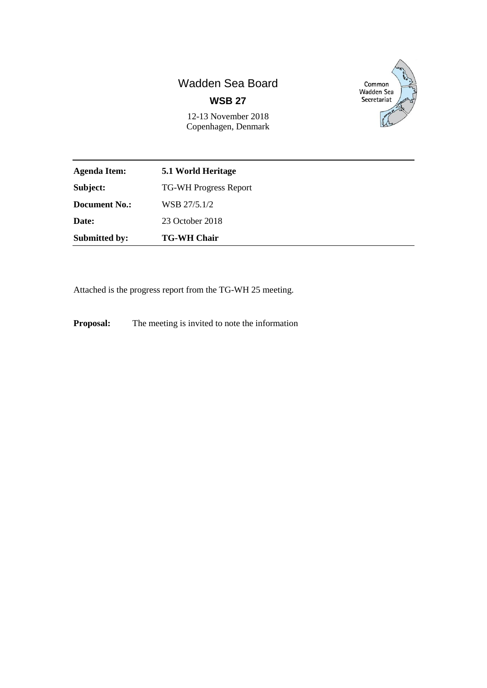# Wadden Sea Board **WSB 27**

Common<br>Wadden Sea Secretariat

12-13 November 2018 Copenhagen, Denmark

| Agenda Item:         | 5.1 World Heritage           |
|----------------------|------------------------------|
| Subject:             | <b>TG-WH Progress Report</b> |
| <b>Document No.:</b> | WSB 27/5.1/2                 |
| <b>Date:</b>         | 23 October 2018              |
| <b>Submitted by:</b> | <b>TG-WH Chair</b>           |

Attached is the progress report from the TG-WH 25 meeting.

**Proposal:** The meeting is invited to note the information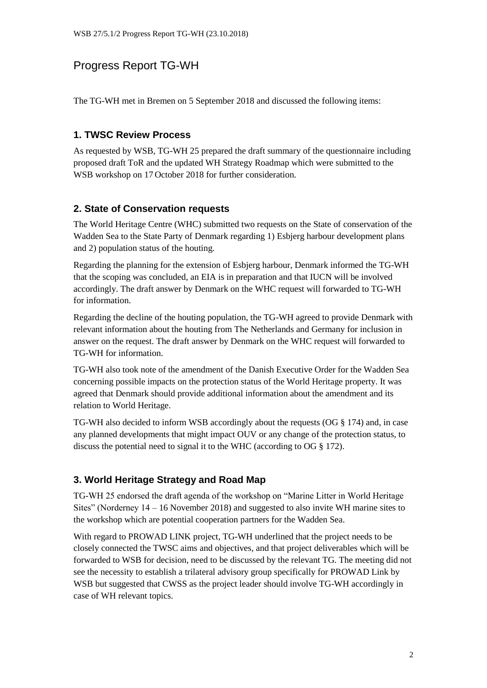## Progress Report TG-WH

The TG-WH met in Bremen on 5 September 2018 and discussed the following items:

### **1. TWSC Review Process**

As requested by WSB, TG-WH 25 prepared the draft summary of the questionnaire including proposed draft ToR and the updated WH Strategy Roadmap which were submitted to the WSB workshop on 17 October 2018 for further consideration.

### **2. State of Conservation requests**

The World Heritage Centre (WHC) submitted two requests on the State of conservation of the Wadden Sea to the State Party of Denmark regarding 1) Esbjerg harbour development plans and 2) population status of the houting.

Regarding the planning for the extension of Esbjerg harbour, Denmark informed the TG-WH that the scoping was concluded, an EIA is in preparation and that IUCN will be involved accordingly. The draft answer by Denmark on the WHC request will forwarded to TG-WH for information.

Regarding the decline of the houting population, the TG-WH agreed to provide Denmark with relevant information about the houting from The Netherlands and Germany for inclusion in answer on the request. The draft answer by Denmark on the WHC request will forwarded to TG-WH for information.

TG-WH also took note of the amendment of the Danish Executive Order for the Wadden Sea concerning possible impacts on the protection status of the World Heritage property. It was agreed that Denmark should provide additional information about the amendment and its relation to World Heritage.

TG-WH also decided to inform WSB accordingly about the requests (OG § 174) and, in case any planned developments that might impact OUV or any change of the protection status, to discuss the potential need to signal it to the WHC (according to OG § 172).

## **3. World Heritage Strategy and Road Map**

TG-WH 25 endorsed the draft agenda of the workshop on "Marine Litter in World Heritage Sites" (Norderney 14 – 16 November 2018) and suggested to also invite WH marine sites to the workshop which are potential cooperation partners for the Wadden Sea.

With regard to PROWAD LINK project, TG-WH underlined that the project needs to be closely connected the TWSC aims and objectives, and that project deliverables which will be forwarded to WSB for decision, need to be discussed by the relevant TG. The meeting did not see the necessity to establish a trilateral advisory group specifically for PROWAD Link by WSB but suggested that CWSS as the project leader should involve TG-WH accordingly in case of WH relevant topics.